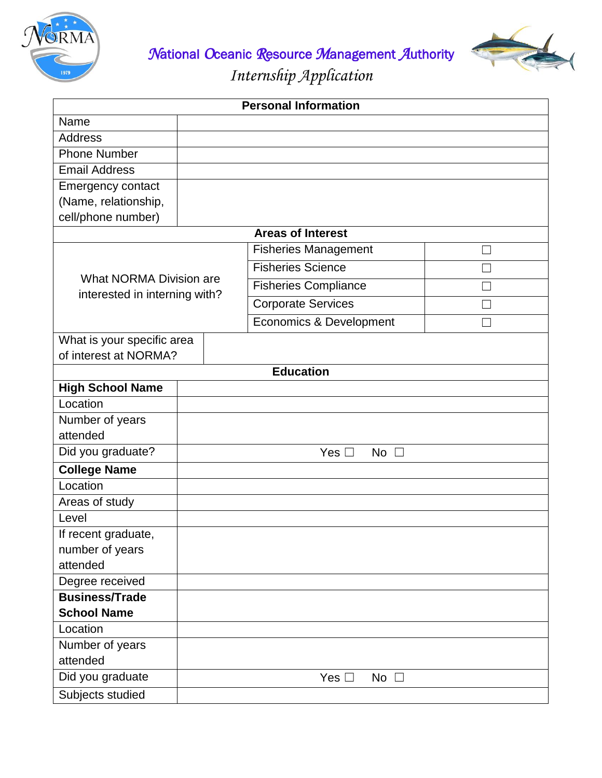

*N*ational *O*ceanic *R*esource *M*anagement *A*uthority

*Internship Application*

| <b>Personal Information</b>                              |  |  |                                    |  |  |
|----------------------------------------------------------|--|--|------------------------------------|--|--|
| Name                                                     |  |  |                                    |  |  |
| <b>Address</b>                                           |  |  |                                    |  |  |
| <b>Phone Number</b>                                      |  |  |                                    |  |  |
| <b>Email Address</b>                                     |  |  |                                    |  |  |
| <b>Emergency contact</b>                                 |  |  |                                    |  |  |
| (Name, relationship,                                     |  |  |                                    |  |  |
| cell/phone number)                                       |  |  |                                    |  |  |
| <b>Areas of Interest</b>                                 |  |  |                                    |  |  |
| What NORMA Division are<br>interested in interning with? |  |  | <b>Fisheries Management</b>        |  |  |
|                                                          |  |  | <b>Fisheries Science</b>           |  |  |
|                                                          |  |  | <b>Fisheries Compliance</b>        |  |  |
|                                                          |  |  | <b>Corporate Services</b>          |  |  |
|                                                          |  |  | <b>Economics &amp; Development</b> |  |  |
| What is your specific area                               |  |  |                                    |  |  |
| of interest at NORMA?                                    |  |  |                                    |  |  |
|                                                          |  |  | <b>Education</b>                   |  |  |
| <b>High School Name</b>                                  |  |  |                                    |  |  |
| Location                                                 |  |  |                                    |  |  |
| Number of years                                          |  |  |                                    |  |  |
| attended                                                 |  |  |                                    |  |  |
| Did you graduate?                                        |  |  | Yes $\square$<br>No $\square$      |  |  |
| <b>College Name</b>                                      |  |  |                                    |  |  |
| Location                                                 |  |  |                                    |  |  |
| Areas of study                                           |  |  |                                    |  |  |
| Level                                                    |  |  |                                    |  |  |
| If recent graduate,                                      |  |  |                                    |  |  |
| number of years                                          |  |  |                                    |  |  |
| attended                                                 |  |  |                                    |  |  |
| Degree received                                          |  |  |                                    |  |  |
| <b>Business/Trade</b>                                    |  |  |                                    |  |  |
| <b>School Name</b>                                       |  |  |                                    |  |  |
| Location                                                 |  |  |                                    |  |  |
| Number of years                                          |  |  |                                    |  |  |
| attended                                                 |  |  |                                    |  |  |
| Did you graduate                                         |  |  | Yes $\square$<br>No $\square$      |  |  |
| Subjects studied                                         |  |  |                                    |  |  |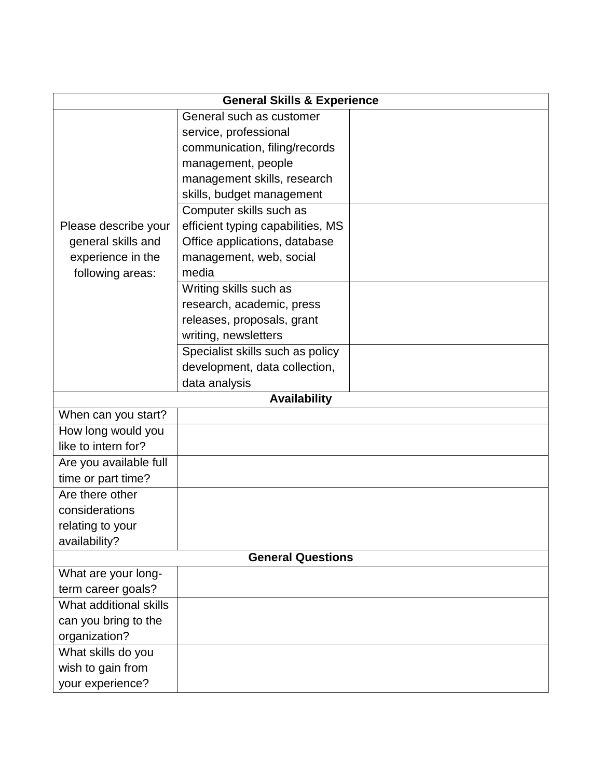| <b>General Skills &amp; Experience</b>                          |                                   |  |  |  |  |
|-----------------------------------------------------------------|-----------------------------------|--|--|--|--|
|                                                                 | General such as customer          |  |  |  |  |
|                                                                 | service, professional             |  |  |  |  |
|                                                                 | communication, filing/records     |  |  |  |  |
|                                                                 | management, people                |  |  |  |  |
|                                                                 | management skills, research       |  |  |  |  |
|                                                                 | skills, budget management         |  |  |  |  |
|                                                                 | Computer skills such as           |  |  |  |  |
| Please describe your<br>general skills and<br>experience in the | efficient typing capabilities, MS |  |  |  |  |
|                                                                 | Office applications, database     |  |  |  |  |
|                                                                 | management, web, social           |  |  |  |  |
| following areas:                                                | media                             |  |  |  |  |
|                                                                 | Writing skills such as            |  |  |  |  |
|                                                                 | research, academic, press         |  |  |  |  |
|                                                                 | releases, proposals, grant        |  |  |  |  |
|                                                                 | writing, newsletters              |  |  |  |  |
|                                                                 | Specialist skills such as policy  |  |  |  |  |
|                                                                 | development, data collection,     |  |  |  |  |
|                                                                 | data analysis                     |  |  |  |  |
|                                                                 | <b>Availability</b>               |  |  |  |  |
| When can you start?                                             |                                   |  |  |  |  |
| How long would you                                              |                                   |  |  |  |  |
| like to intern for?                                             |                                   |  |  |  |  |
| Are you available full                                          |                                   |  |  |  |  |
| time or part time?                                              |                                   |  |  |  |  |
| Are there other                                                 |                                   |  |  |  |  |
| considerations                                                  |                                   |  |  |  |  |
| relating to your                                                |                                   |  |  |  |  |
| availability?                                                   |                                   |  |  |  |  |
| <b>General Questions</b>                                        |                                   |  |  |  |  |
| What are your long-                                             |                                   |  |  |  |  |
| term career goals?                                              |                                   |  |  |  |  |
| What additional skills                                          |                                   |  |  |  |  |
| can you bring to the                                            |                                   |  |  |  |  |
| organization?                                                   |                                   |  |  |  |  |
| What skills do you                                              |                                   |  |  |  |  |
| wish to gain from                                               |                                   |  |  |  |  |
| your experience?                                                |                                   |  |  |  |  |